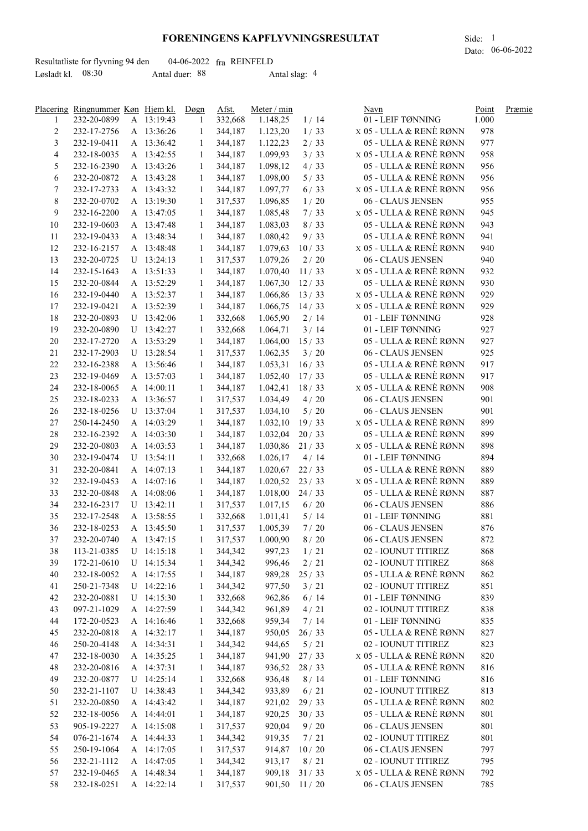## **FORENINGENS KAPFLYVNINGSRESULTAT** Side: 1

Dato: 06-06-2022

|                     | Resultatliste for flyvning 94 den |                | $04-06-2022$ fra REINFELD |  |
|---------------------|-----------------------------------|----------------|---------------------------|--|
| Løsladt kl. $08:30$ |                                   | Antal duer: 88 | Antal slag: 4             |  |

|                          | Placering Ringnummer Køn Hjem kl. |            | Døgn         | Afst.   | Meter / min        |              | Navn                               | Point | Præmie |
|--------------------------|-----------------------------------|------------|--------------|---------|--------------------|--------------|------------------------------------|-------|--------|
| 1                        | 232-20-0899                       | A 13:19:43 | 1            | 332,668 | 1.148,25           | 1/14         | 01 - LEIF TØNNING                  | 1.000 |        |
| $\overline{c}$           | 232-17-2756                       | A 13:36:26 | $\mathbf{1}$ | 344,187 | 1.123,20           | 1/33         | x 05 - ULLA & RENÈ RØNN            | 978   |        |
| 3                        | 232-19-0411                       | A 13:36:42 | 1            | 344,187 | 1.122,23           | 2/33         | 05 - ULLA & RENÈ RØNN              | 977   |        |
| $\overline{\mathcal{L}}$ | 232-18-0035                       | A 13:42:55 | 1            | 344,187 | 1.099,93           | 3/33         | x 05 - ULLA & RENÈ RØNN            | 958   |        |
| 5                        | 232-16-2390                       | A 13:43:26 | 1            | 344,187 | 1.098,12           | 4/33         | 05 - ULLA & RENÈ RØNN              | 956   |        |
| 6                        | 232-20-0872                       | A 13:43:28 | 1            | 344,187 | 1.098,00           | 5/33         | 05 - ULLA & RENÈ RØNN              | 956   |        |
| 7                        | 232-17-2733                       | A 13:43:32 | 1            | 344,187 | 1.097,77           | 6/33         | x 05 - ULLA & RENÈ RØNN            | 956   |        |
| 8                        | 232-20-0702                       | A 13:19:30 | 1            | 317,537 | 1.096,85           | 1/20         | 06 - CLAUS JENSEN                  | 955   |        |
| 9                        | 232-16-2200                       | A 13:47:05 | 1            | 344,187 | 1.085,48           | 7/33         | x 05 - ULLA & RENÈ RØNN            | 945   |        |
| 10                       | 232-19-0603                       | A 13:47:48 | 1            | 344,187 | 1.083,03           | 8/33         | 05 - ULLA & RENÈ RØNN              | 943   |        |
| 11                       | 232-19-0433                       | A 13:48:34 | 1            | 344,187 | 1.080,42           | 9/33         | 05 - ULLA & RENÈ RØNN              | 941   |        |
| 12                       | 232-16-2157                       | A 13:48:48 | 1            | 344,187 | 1.079,63           | 10/33        | x 05 - ULLA & RENÈ RØNN            | 940   |        |
| 13                       | 232-20-0725                       | U 13:24:13 | 1            | 317,537 | 1.079,26           | $2/20$       | 06 - CLAUS JENSEN                  | 940   |        |
| 14                       | 232-15-1643                       | A 13:51:33 | 1            | 344,187 | 1.070,40           | 11/33        | x 05 - ULLA & RENÈ RØNN            | 932   |        |
| 15                       | 232-20-0844                       | A 13:52:29 |              |         |                    |              | 05 - ULLA & RENÈ RØNN              | 930   |        |
|                          |                                   |            | $\mathbf{1}$ | 344,187 | 1.067,30           | 12/33        |                                    |       |        |
| 16                       | 232-19-0440                       | A 13:52:37 | 1            | 344,187 | $1.066,86$ 13 / 33 |              | x 05 - ULLA & RENÈ RØNN            | 929   |        |
| 17                       | 232-19-0421                       | A 13:52:39 | 1            | 344,187 | $1.066,75$ 14/33   |              | x 05 - ULLA & RENÈ RØNN            | 929   |        |
| 18                       | 232-20-0893                       | U 13:42:06 | 1            | 332,668 | 1.065,90           | 2/14         | 01 - LEIF TØNNING                  | 928   |        |
| 19                       | 232-20-0890                       | U 13:42:27 | 1            | 332,668 | 1.064,71           | 3/14         | 01 - LEIF TØNNING                  | 927   |        |
| $20\,$                   | 232-17-2720                       | A 13:53:29 | $\mathbf{1}$ | 344,187 | 1.064,00           | 15/33        | 05 - ULLA & RENÈ RØNN              | 927   |        |
| 21                       | 232-17-2903                       | U 13:28:54 | $\mathbf{1}$ | 317,537 | 1.062,35           | 3/20         | 06 - CLAUS JENSEN                  | 925   |        |
| 22                       | 232-16-2388                       | A 13:56:46 | $\mathbf{1}$ | 344,187 | $1.053,31$ 16 / 33 |              | 05 - ULLA & RENÈ RØNN              | 917   |        |
| 23                       | 232-19-0469                       | A 13:57:03 | $\mathbf{1}$ | 344,187 | 1.052,40           | 17/33        | 05 - ULLA & RENÈ RØNN              | 917   |        |
| 24                       | 232-18-0065                       | A 14:00:11 | 1            | 344,187 | $1.042,41$ 18 / 33 |              | x 05 - ULLA & RENÈ RØNN            | 908   |        |
| 25                       | 232-18-0233                       | A 13:36:57 | -1           | 317,537 | 1.034,49           | 4/20         | 06 - CLAUS JENSEN                  | 901   |        |
| 26                       | 232-18-0256                       | U 13:37:04 | 1            | 317,537 | 1.034,10           | 5/20         | 06 - CLAUS JENSEN                  | 901   |        |
| 27                       | 250-14-2450                       | A 14:03:29 | 1            | 344,187 | 1.032,10           | 19/33        | x 05 - ULLA & RENÈ RØNN            | 899   |        |
| 28                       | 232-16-2392                       | A 14:03:30 | 1            | 344,187 | $1.032,04$ 20 / 33 |              | 05 - ULLA & RENÈ RØNN              | 899   |        |
| 29                       | 232-20-0803                       | A 14:03:53 | -1           | 344,187 | $1.030,86$ 21/33   |              | x 05 - ULLA & RENÈ RØNN            | 898   |        |
| 30                       | 232-19-0474                       | U 13:54:11 | 1            | 332,668 | 1.026,17           | 4/14         | 01 - LEIF TØNNING                  | 894   |        |
| 31                       | 232-20-0841                       | A 14:07:13 | 1            | 344,187 | $1.020,67$ 22/33   |              | 05 - ULLA & RENÈ RØNN              | 889   |        |
| 32                       | 232-19-0453                       | A 14:07:16 | 1            | 344,187 | $1.020,52$ 23 / 33 |              | x 05 - ULLA & RENÈ RØNN            | 889   |        |
| 33                       | 232-20-0848                       | A 14:08:06 | 1            | 344,187 | $1.018,00$ 24/33   |              | 05 - ULLA & RENÈ RØNN              | 887   |        |
| 34                       | 232-16-2317                       | U 13:42:11 | 1            | 317,537 | 1.017,15           | 6/20         | 06 - CLAUS JENSEN                  | 886   |        |
| 35                       | 232-17-2548                       | A 13:58:55 | 1            | 332,668 | 1.011,41           | 5/14         | 01 - LEIF TØNNING                  | 881   |        |
| 36                       | 232-18-0253                       | A 13:45:50 | 1            | 317,537 | 1.005,39           | 7/20         | 06 - CLAUS JENSEN                  | 876   |        |
| 37                       | 232-20-0740                       | A 13:47:15 | 1            | 317,537 | 1.000,90           | 8/20         | 06 - CLAUS JENSEN                  | 872   |        |
| 38                       | 113-21-0385                       | U 14:15:18 | $\mathbf{1}$ | 344,342 | 997,23             | 1/21         | 02 - IOUNUT TITIREZ                | 868   |        |
| 39                       | 172-21-0610                       | U 14:15:34 | 1            | 344,342 | 996,46             | 2/21         | 02 - IOUNUT TITIREZ                | 868   |        |
| 40                       | 232-18-0052                       | A 14:17:55 | 1            | 344,187 | 989,28             | 25/33        | 05 - ULLA & RENÈ RØNN              | 862   |        |
| 41                       | 250-21-7348                       | U 14:22:16 | 1            | 344,342 | 977,50             | 3/21         | 02 - IOUNUT TITIREZ                | 851   |        |
| 42                       | 232-20-0881                       | U 14:15:30 | 1            | 332,668 | 962,86             | 6/14         | 01 - LEIF TØNNING                  | 839   |        |
| 43                       | 097-21-1029                       | A 14:27:59 | 1            | 344,342 | 961,89             | 4/21         | 02 - IOUNUT TITIREZ                | 838   |        |
| 44                       | 172-20-0523                       | A 14:16:46 | 1            | 332,668 | 959,34             | 7/14         | 01 - LEIF TØNNING                  | 835   |        |
| 45                       | 232-20-0818                       | A 14:32:17 | 1            | 344,187 | 950,05             | 26/33        | 05 - ULLA & RENÈ RØNN              | 827   |        |
| 46                       | 250-20-4148                       | A 14:34:31 |              | 344,342 | 944,65             | $5/21$       | 02 - IOUNUT TITIREZ                | 823   |        |
| 47                       | 232-18-0030                       | A 14:35:25 | 1            | 344,187 | 941,90             | 27/33        | x 05 - ULLA & RENÈ RØNN            | 820   |        |
|                          |                                   | A 14:37:31 | -1           | 344,187 | 936,52             | 28/33        | 05 - ULLA & RENÈ RØNN              |       |        |
| 48                       | 232-20-0816                       |            | 1            |         |                    |              |                                    | 816   |        |
| 49                       | 232-20-0877                       | U 14:25:14 | 1            | 332,668 | 936,48             | 8/14         | 01 - LEIF TØNNING                  | 816   |        |
| 50                       | 232-21-1107                       | U 14:38:43 | 1            | 344,342 | 933,89             | 6/21         | 02 - IOUNUT TITIREZ                | 813   |        |
| 51                       | 232-20-0850                       | A 14:43:42 | 1            | 344,187 | 921,02             | 29/33        | 05 - ULLA & RENÈ RØNN              | 802   |        |
| 52                       | 232-18-0056                       | A 14:44:01 | 1            | 344,187 | 920,25             | 30/33        | 05 - ULLA & RENÈ RØNN              | 801   |        |
| 53                       | 905-19-2227                       | A 14:15:08 | 1            | 317,537 | 920,04             | 9/20         | 06 - CLAUS JENSEN                  | 801   |        |
| 54                       | 076-21-1674                       | A 14:44:33 | 1            | 344,342 | 919,35             | 7/21         | 02 - IOUNUT TITIREZ                | 801   |        |
| 55                       | 250-19-1064                       | A 14:17:05 | 1            | 317,537 | 914,87             | 10/20        | 06 - CLAUS JENSEN                  | 797   |        |
| 56                       | 232-21-1112                       | A 14:47:05 | 1            | 344,342 | 913,17             | 8/21         | 02 - IOUNUT TITIREZ                | 795   |        |
| 57                       | 232-19-0465                       | A 14:48:34 | 1            | 344,187 | 909,18             | 31/33        | <b>x 05 - ULLA &amp; RENÈ RØNN</b> | 792   |        |
| 58                       | 232-18-0251                       | A 14:22:14 | 1            | 317,537 |                    | 901,50 11/20 | 06 - CLAUS JENSEN                  | 785   |        |
|                          |                                   |            |              |         |                    |              |                                    |       |        |